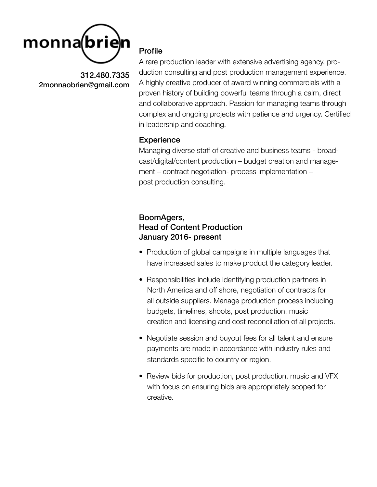

### Profile

A rare production leader with extensive advertising agency, production consulting and post production management experience. A highly creative producer of award winning commercials with a proven history of building powerful teams through a calm, direct and collaborative approach. Passion for managing teams through complex and ongoing projects with patience and urgency. Certified in leadership and coaching.

#### **Experience**

Managing diverse staff of creative and business teams - broadcast/digital/content production – budget creation and management – contract negotiation- process implementation – post production consulting.

# BoomAgers, Head of Content Production January 2016- present

- Production of global campaigns in multiple languages that have increased sales to make product the category leader.
- Responsibilities include identifying production partners in North America and off shore, negotiation of contracts for all outside suppliers. Manage production process including budgets, timelines, shoots, post production, music creation and licensing and cost reconciliation of all projects.
- Negotiate session and buyout fees for all talent and ensure payments are made in accordance with industry rules and standards specific to country or region.
- Review bids for production, post production, music and VFX with focus on ensuring bids are appropriately scoped for creative.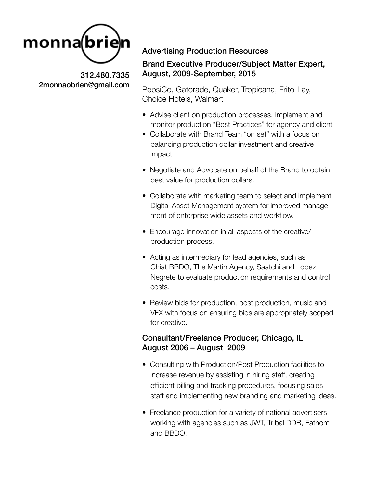

# Advertising Production Resources

### Brand Executive Producer/Subject Matter Expert, August, 2009-September, 2015

PepsiCo, Gatorade, Quaker, Tropicana, Frito-Lay, Choice Hotels, Walmart

- Advise client on production processes, Implement and monitor production "Best Practices" for agency and client
- Collaborate with Brand Team "on set" with a focus on balancing production dollar investment and creative impact.
- Negotiate and Advocate on behalf of the Brand to obtain best value for production dollars.
- Collaborate with marketing team to select and implement Digital Asset Management system for improved manage ment of enterprise wide assets and workflow.
- Encourage innovation in all aspects of the creative/ production process.
- Acting as intermediary for lead agencies, such as Chiat,BBDO, The Martin Agency, Saatchi and Lopez Negrete to evaluate production requirements and control costs.
- Review bids for production, post production, music and VFX with focus on ensuring bids are appropriately scoped for creative.

# Consultant/Freelance Producer, Chicago, IL August 2006 – August 2009

- Consulting with Production/Post Production facilities to increase revenue by assisting in hiring staff, creating efficient billing and tracking procedures, focusing sales staff and implementing new branding and marketing ideas.
- Freelance production for a variety of national advertisers working with agencies such as JWT, Tribal DDB, Fathom and BBDO.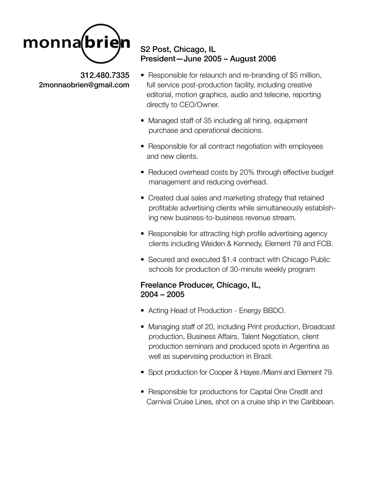

# S2 Post, Chicago, IL President—June 2005 – August 2006

- Responsible for relaunch and re-branding of \$5 million, full service post-production facility, including creative editorial, motion graphics, audio and telecine, reporting directly to CEO/Owner.
- Managed staff of 35 including all hiring, equipment purchase and operational decisions.
- Responsible for all contract negotiation with employees and new clients.
- Reduced overhead costs by 20% through effective budget management and reducing overhead.
- Created dual sales and marketing strategy that retained profitable advertising clients while simultaneously establish ing new business-to-business revenue stream.
- Responsible for attracting high profile advertising agency clients including Weiden & Kennedy, Element 79 and FCB.
- Secured and executed \$1.4 contract with Chicago Public schools for production of 30-minute weekly program

# Freelance Producer, Chicago, IL, 2004 – 2005

- Acting Head of Production Energy BBDO.
- Managing staff of 20, including Print production, Broadcast production, Business Affairs, Talent Negotiation, client production seminars and produced spots in Argentina as well as supervising production in Brazil.
- Spot production for Cooper & Hayes /Miami and Element 79.
- Responsible for productions for Capital One Credit and Carnival Cruise Lines, shot on a cruise ship in the Caribbean.